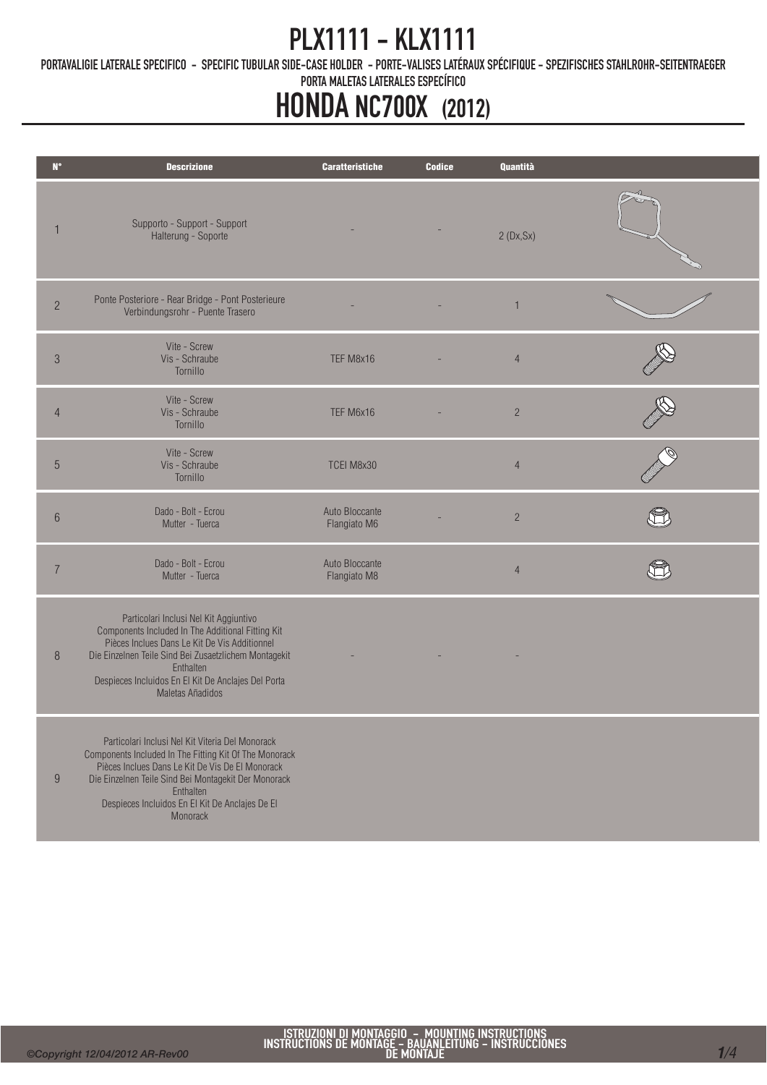# PLX1111 - KLX1111

PORTAVALIGIE LATERALE SPECIFICO - SPECIFIC TUBULAR SIDE-CASE HOLDER - PORTE-VALISES LATÉRAUX SPÉCIFIQUE - SPEZIFISCHES STAHLROHR-SEITENTRAEGER

PORTA MALETAS LATERALES ESPECÍFICO

# HONDA NC700X (2012)

| $N^{\circ}$    | <b>Descrizione</b>                                                                                                                                                                                                                                                                                 | <b>Caratteristiche</b>         | <b>Codice</b> | Quantità       |  |
|----------------|----------------------------------------------------------------------------------------------------------------------------------------------------------------------------------------------------------------------------------------------------------------------------------------------------|--------------------------------|---------------|----------------|--|
|                | Supporto - Support - Support<br>Halterung - Soporte                                                                                                                                                                                                                                                |                                |               | 2(Dx, Sx)      |  |
| $\overline{c}$ | Ponte Posteriore - Rear Bridge - Pont Posterieure<br>Verbindungsrohr - Puente Trasero                                                                                                                                                                                                              |                                |               | $\mathbf{1}$   |  |
| $\sqrt{3}$     | Vite - Screw<br>Vis - Schraube<br>Tornillo                                                                                                                                                                                                                                                         | TEF M8x16                      |               | $\overline{4}$ |  |
| $\overline{4}$ | Vite - Screw<br>Vis - Schraube<br>Tornillo                                                                                                                                                                                                                                                         | TEF M6x16                      |               | $\overline{c}$ |  |
| 5              | Vite - Screw<br>Vis - Schraube<br>Tornillo                                                                                                                                                                                                                                                         | TCEI M8x30                     |               | $\overline{4}$ |  |
| $6\phantom{1}$ | Dado - Bolt - Ecrou<br>Mutter - Tuerca                                                                                                                                                                                                                                                             | Auto Bloccante<br>Flangiato M6 |               | $\overline{c}$ |  |
| 7              | Dado - Bolt - Ecrou<br>Mutter - Tuerca                                                                                                                                                                                                                                                             | Auto Bloccante<br>Flangiato M8 |               | $\overline{4}$ |  |
| 8              | Particolari Inclusi Nel Kit Aggiuntivo<br>Components Included In The Additional Fitting Kit<br>Pièces Inclues Dans Le Kit De Vis Additionnel<br>Die Einzelnen Teile Sind Bei Zusaetzlichem Montagekit<br>Enthalten<br>Despieces Incluidos En El Kit De Anclajes Del Porta<br>Maletas Añadidos      |                                |               |                |  |
| 9              | Particolari Inclusi Nel Kit Viteria Del Monorack<br>Components Included In The Fitting Kit Of The Monorack<br>Pièces Inclues Dans Le Kit De Vis De El Monorack<br>Die Einzelnen Teile Sind Bei Montagekit Der Monorack<br>Enthalten<br>Despieces Incluidos En El Kit De Anclajes De El<br>Monorack |                                |               |                |  |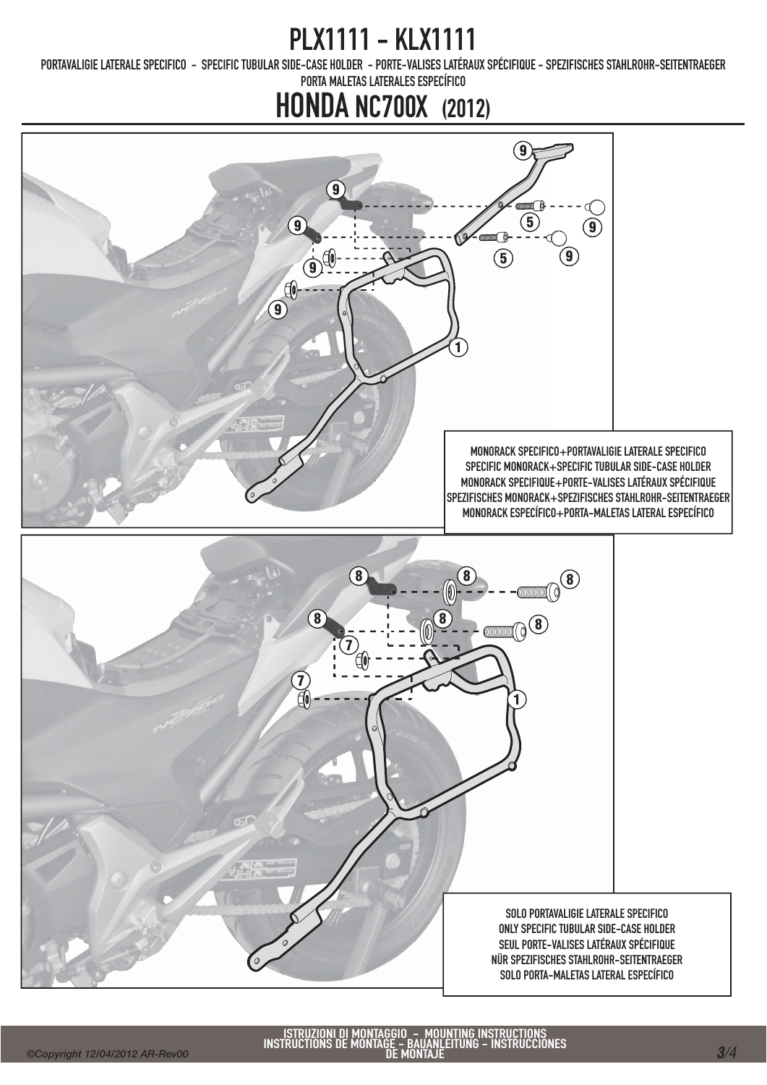# PLX1111 - KLX1111

PORTAVALIGIE LATERALE SPECIFICO - SPECIFIC TUBULAR SIDE-CASE HOLDER - PORTE-VALISES LATÉRAUX SPÉCIFIQUE - SPEZIFISCHES STAHLROHR-SEITENTRAEGER

PORTA MALETAS LATERALES ESPECÍFICO

### HONDA NC700X (2012)